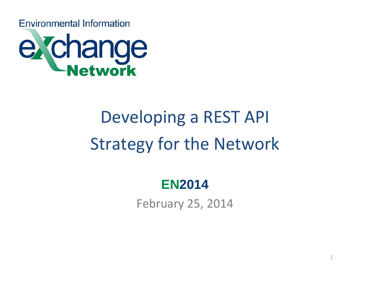**Environmental Information** 



# Developing a REST API Strategy for the Network

#### **EN2014**

February 25, 2014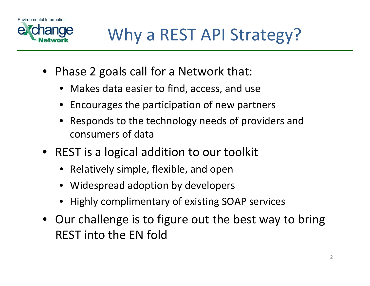



- Phase 2 goals call for <sup>a</sup> Network that:
	- Makes data easier to find, access, and use
	- Encourages the participation of new partners
	- Responds to the technology needs of providers and consumers of data
- REST is <sup>a</sup> logical addition to our toolkit
	- Relatively simple, flexible, and open
	- Widespread adoption by developers
	- Highly complimentary of existing SOAP services
- Our challenge is to figure out the best way to bring REST into the EN fold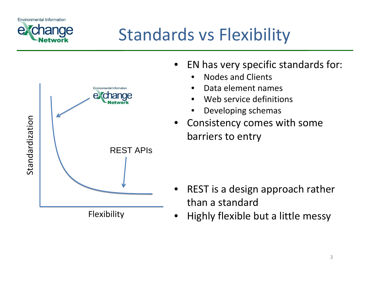## Standards vs Flexibility

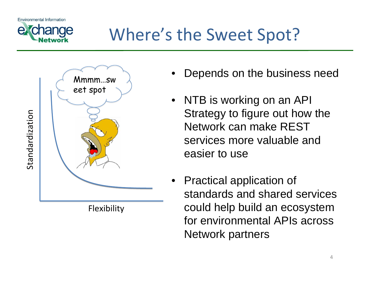

#### Where's the Sweet Spot?



Flexibility

- Depends on the business need
- NTB is working on an API Strategy to figure out how the Network can make REST services more valuable and easier to use
- Practical application of standards and shared services could help build an ecosystem for environmental APIs across Network partners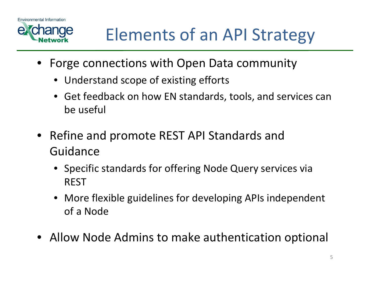



#### Elements of an API Strategy

- Forge connections with Open Data community
	- Understand scope of existing efforts
	- Get feedback on how EN standards, tools, and services can be useful
- Refine and promote REST API Standards and Guidance
	- Specific standards for offering Node Query services via REST
	- More flexible guidelines for developing APIs independent of a Node
- Allow Node Admins to make authentication optional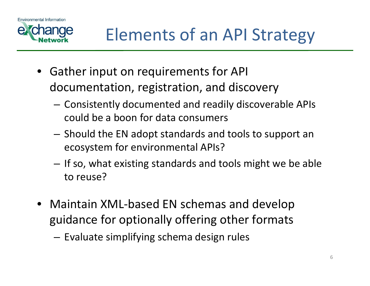



- Gather input on requirements for API documentation, registration, and discovery
	- Consistently documented and readily discoverable APIs could be <sup>a</sup> boon for data consumers
	- Should the EN adopt standards and tools to support an ecosystem for environmental APIs?
	- If so, what existing standards and tools might we be able to reuse?
- Maintain XML‐based EN schemas and develop guidance for optionally offering other formats
	- Evaluate simplifying schema design rules